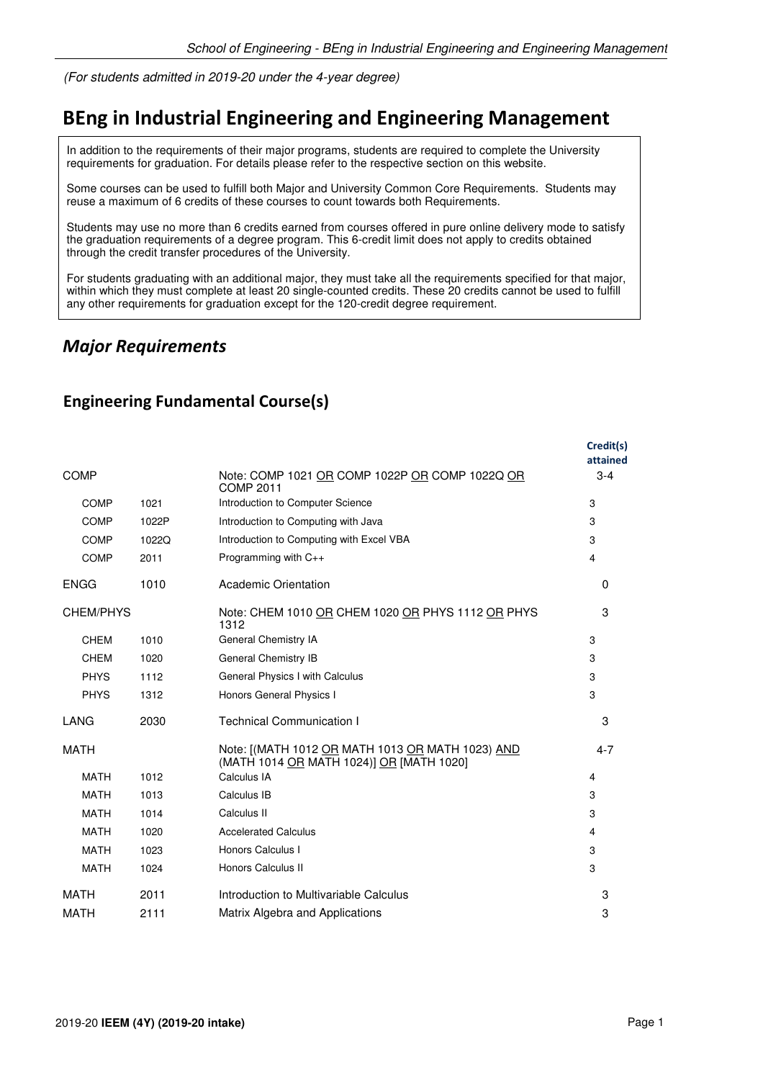(For students admitted in 2019-20 under the 4-year degree)

# **BEng in Industrial Engineering and Engineering Management**

In addition to the requirements of their major programs, students are required to complete the University requirements for graduation. For details please refer to the respective section on this website.

Some courses can be used to fulfill both Major and University Common Core Requirements. Students may reuse a maximum of 6 credits of these courses to count towards both Requirements.

Students may use no more than 6 credits earned from courses offered in pure online delivery mode to satisfy the graduation requirements of a degree program. This 6-credit limit does not apply to credits obtained through the credit transfer procedures of the University.

For students graduating with an additional major, they must take all the requirements specified for that major, within which they must complete at least 20 single-counted credits. These 20 credits cannot be used to fulfill any other requirements for graduation except for the 120-credit degree requirement.

### *Major Requirements*

|             |       |                                                                                              | Credit(s)<br>attained |
|-------------|-------|----------------------------------------------------------------------------------------------|-----------------------|
| <b>COMP</b> |       | Note: COMP 1021 OR COMP 1022P OR COMP 1022Q OR<br><b>COMP 2011</b>                           | $3 - 4$               |
| <b>COMP</b> | 1021  | Introduction to Computer Science                                                             | 3                     |
| <b>COMP</b> | 1022P | Introduction to Computing with Java                                                          | 3                     |
| <b>COMP</b> | 1022Q | Introduction to Computing with Excel VBA                                                     | 3                     |
| <b>COMP</b> | 2011  | Programming with C++                                                                         | 4                     |
| <b>ENGG</b> | 1010  | Academic Orientation                                                                         | $\Omega$              |
| CHEM/PHYS   |       | Note: CHEM 1010 OR CHEM 1020 OR PHYS 1112 OR PHYS<br>1312                                    | 3                     |
| <b>CHEM</b> | 1010  | General Chemistry IA                                                                         | 3                     |
| <b>CHEM</b> | 1020  | General Chemistry IB                                                                         | 3                     |
| <b>PHYS</b> | 1112  | General Physics I with Calculus                                                              | 3                     |
| <b>PHYS</b> | 1312  | Honors General Physics I                                                                     | 3                     |
| <b>LANG</b> | 2030  | <b>Technical Communication I</b>                                                             | 3                     |
| <b>MATH</b> |       | Note: [(MATH 1012 OR MATH 1013 OR MATH 1023) AND<br>(MATH 1014 OR MATH 1024)] OR [MATH 1020] | $4 - 7$               |
| <b>MATH</b> | 1012  | Calculus IA                                                                                  | 4                     |
| <b>MATH</b> | 1013  | Calculus IB                                                                                  | 3                     |
| <b>MATH</b> | 1014  | Calculus II                                                                                  | 3                     |
| <b>MATH</b> | 1020  | <b>Accelerated Calculus</b>                                                                  | 4                     |
| <b>MATH</b> | 1023  | Honors Calculus I                                                                            | 3                     |
| <b>MATH</b> | 1024  | Honors Calculus II                                                                           | 3                     |
| <b>MATH</b> | 2011  | Introduction to Multivariable Calculus                                                       | 3                     |
| <b>MATH</b> | 2111  | Matrix Algebra and Applications                                                              | 3                     |

#### **Engineering Fundamental Course(s)**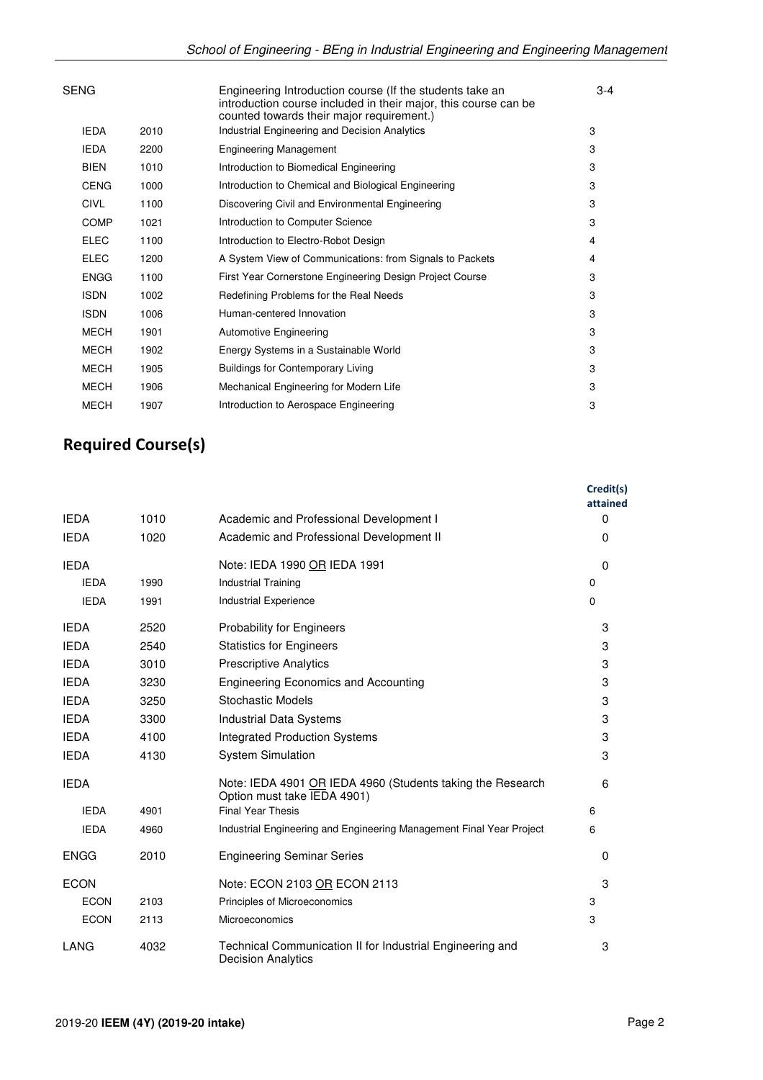| SENG        |      | Engineering Introduction course (If the students take an<br>introduction course included in their major, this course can be<br>counted towards their major requirement.) | $3 - 4$ |
|-------------|------|--------------------------------------------------------------------------------------------------------------------------------------------------------------------------|---------|
| <b>IEDA</b> | 2010 | Industrial Engineering and Decision Analytics                                                                                                                            | 3       |
| <b>IEDA</b> | 2200 | <b>Engineering Management</b>                                                                                                                                            | 3       |
| <b>BIEN</b> | 1010 | Introduction to Biomedical Engineering                                                                                                                                   | 3       |
| <b>CENG</b> | 1000 | Introduction to Chemical and Biological Engineering                                                                                                                      | 3       |
| <b>CIVL</b> | 1100 | Discovering Civil and Environmental Engineering                                                                                                                          | 3       |
| <b>COMP</b> | 1021 | Introduction to Computer Science                                                                                                                                         | 3       |
| <b>ELEC</b> | 1100 | Introduction to Electro-Robot Design                                                                                                                                     | 4       |
| <b>ELEC</b> | 1200 | A System View of Communications: from Signals to Packets                                                                                                                 | 4       |
| <b>ENGG</b> | 1100 | First Year Cornerstone Engineering Design Project Course                                                                                                                 | 3       |
| <b>ISDN</b> | 1002 | Redefining Problems for the Real Needs                                                                                                                                   | 3       |
| <b>ISDN</b> | 1006 | Human-centered Innovation                                                                                                                                                | 3       |
| <b>MECH</b> | 1901 | <b>Automotive Engineering</b>                                                                                                                                            | 3       |
| <b>MECH</b> | 1902 | Energy Systems in a Sustainable World                                                                                                                                    | 3       |
| <b>MECH</b> | 1905 | <b>Buildings for Contemporary Living</b>                                                                                                                                 | 3       |
| <b>MECH</b> | 1906 | Mechanical Engineering for Modern Life                                                                                                                                   | 3       |
| <b>MECH</b> | 1907 | Introduction to Aerospace Engineering                                                                                                                                    | 3       |
|             |      |                                                                                                                                                                          |         |

# **Required Course(s)**

|             |      |                                                                                           | Credit(s)<br>attained |
|-------------|------|-------------------------------------------------------------------------------------------|-----------------------|
| <b>IEDA</b> | 1010 | Academic and Professional Development I                                                   | $\Omega$              |
| <b>IEDA</b> | 1020 | Academic and Professional Development II                                                  | $\Omega$              |
| <b>IEDA</b> |      | Note: IEDA 1990 OR IEDA 1991                                                              | $\Omega$              |
| <b>IEDA</b> | 1990 | <b>Industrial Training</b>                                                                | 0                     |
| <b>IEDA</b> | 1991 | Industrial Experience                                                                     | 0                     |
| <b>IEDA</b> | 2520 | <b>Probability for Engineers</b>                                                          | 3                     |
| <b>IEDA</b> | 2540 | <b>Statistics for Engineers</b>                                                           | 3                     |
| <b>IEDA</b> | 3010 | <b>Prescriptive Analytics</b>                                                             | 3                     |
| <b>IEDA</b> | 3230 | <b>Engineering Economics and Accounting</b>                                               | 3                     |
| <b>IEDA</b> | 3250 | Stochastic Models                                                                         | 3                     |
| <b>IEDA</b> | 3300 | <b>Industrial Data Systems</b>                                                            | 3                     |
| <b>IEDA</b> | 4100 | <b>Integrated Production Systems</b>                                                      | 3                     |
| <b>IEDA</b> | 4130 | <b>System Simulation</b>                                                                  | 3                     |
| <b>IEDA</b> |      | Note: IEDA 4901 OR IEDA 4960 (Students taking the Research<br>Option must take IEDA 4901) | 6                     |
| <b>IEDA</b> | 4901 | <b>Final Year Thesis</b>                                                                  | 6                     |
| <b>IEDA</b> | 4960 | Industrial Engineering and Engineering Management Final Year Project                      | 6                     |
| <b>ENGG</b> | 2010 | <b>Engineering Seminar Series</b>                                                         | 0                     |
| <b>ECON</b> |      | Note: ECON 2103 OR ECON 2113                                                              | 3                     |
| <b>ECON</b> | 2103 | Principles of Microeconomics                                                              | 3                     |
| <b>ECON</b> | 2113 | Microeconomics                                                                            | 3                     |
| LANG        | 4032 | Technical Communication II for Industrial Engineering and<br><b>Decision Analytics</b>    | 3                     |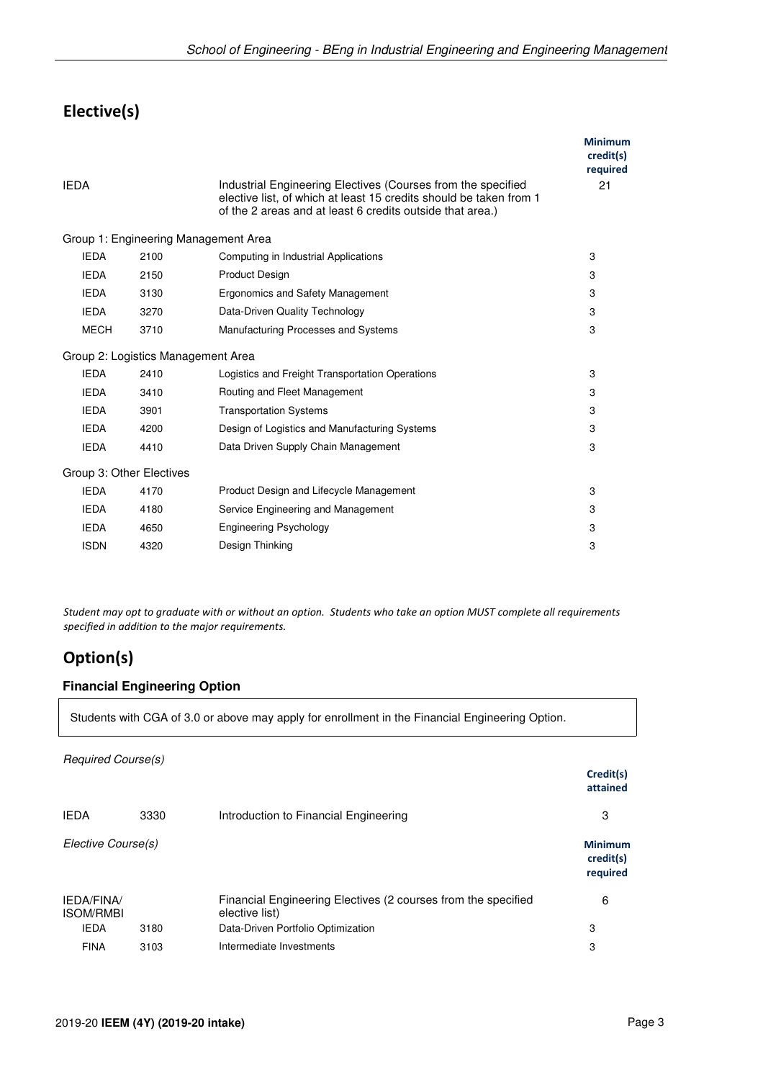## **Elective(s)**

| <b>IEDA</b>                        |      | Industrial Engineering Electives (Courses from the specified<br>elective list, of which at least 15 credits should be taken from 1<br>of the 2 areas and at least 6 credits outside that area.) | <b>Minimum</b><br>credit(s)<br>required<br>21 |
|------------------------------------|------|-------------------------------------------------------------------------------------------------------------------------------------------------------------------------------------------------|-----------------------------------------------|
|                                    |      | Group 1: Engineering Management Area                                                                                                                                                            |                                               |
| <b>IEDA</b>                        | 2100 | Computing in Industrial Applications                                                                                                                                                            | 3                                             |
| <b>IEDA</b>                        | 2150 | <b>Product Design</b>                                                                                                                                                                           | 3                                             |
| <b>IEDA</b>                        | 3130 | Ergonomics and Safety Management                                                                                                                                                                | 3                                             |
| <b>IEDA</b>                        | 3270 | Data-Driven Quality Technology                                                                                                                                                                  | 3                                             |
| <b>MECH</b>                        | 3710 | Manufacturing Processes and Systems                                                                                                                                                             | 3                                             |
| Group 2: Logistics Management Area |      |                                                                                                                                                                                                 |                                               |
| <b>IEDA</b>                        | 2410 | Logistics and Freight Transportation Operations                                                                                                                                                 | 3                                             |
| <b>IEDA</b>                        | 3410 | Routing and Fleet Management                                                                                                                                                                    | 3                                             |
| <b>IEDA</b>                        | 3901 | <b>Transportation Systems</b>                                                                                                                                                                   | 3                                             |
| <b>IEDA</b>                        | 4200 | Design of Logistics and Manufacturing Systems                                                                                                                                                   | 3                                             |
| <b>IEDA</b>                        | 4410 | Data Driven Supply Chain Management                                                                                                                                                             | 3                                             |
| Group 3: Other Electives           |      |                                                                                                                                                                                                 |                                               |
| <b>IEDA</b>                        | 4170 | Product Design and Lifecycle Management                                                                                                                                                         | 3                                             |
| <b>IEDA</b>                        | 4180 | Service Engineering and Management                                                                                                                                                              | 3                                             |
| <b>IEDA</b>                        | 4650 | <b>Engineering Psychology</b>                                                                                                                                                                   | 3                                             |
| <b>ISDN</b>                        | 4320 | Design Thinking                                                                                                                                                                                 | 3                                             |

*Student may opt to graduate with or without an option. Students who take an option MUST complete all requirements specified in addition to the major requirements.*

## **Option(s)**

#### **Financial Engineering Option**

Students with CGA of 3.0 or above may apply for enrollment in the Financial Engineering Option.

|                                       |                                                                                                                                                                                                                                             |                                       | Credit(s)<br>attained                   |
|---------------------------------------|---------------------------------------------------------------------------------------------------------------------------------------------------------------------------------------------------------------------------------------------|---------------------------------------|-----------------------------------------|
| <b>IEDA</b>                           | 3330                                                                                                                                                                                                                                        | Introduction to Financial Engineering | 3                                       |
|                                       | Required Course(s)<br>Elective Course(s)<br>Financial Engineering Electives (2 courses from the specified<br>elective list)<br><b>IEDA</b><br>Data-Driven Portfolio Optimization<br>3180<br>Intermediate Investments<br><b>FINA</b><br>3103 |                                       | <b>Minimum</b><br>credit(s)<br>required |
| <b>IEDA/FINA/</b><br><b>ISOM/RMBI</b> |                                                                                                                                                                                                                                             |                                       | 6                                       |
|                                       |                                                                                                                                                                                                                                             |                                       | 3                                       |
|                                       |                                                                                                                                                                                                                                             |                                       | 3                                       |
|                                       |                                                                                                                                                                                                                                             |                                       |                                         |